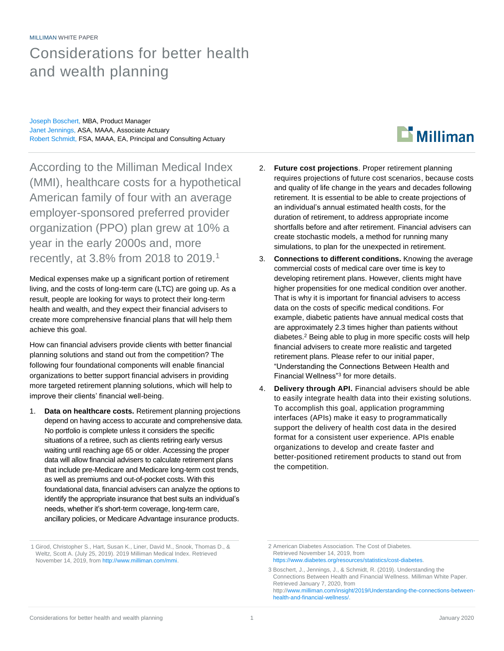### MILLIMAN WHITE PAPER

## Considerations for better health and wealth planning

Joseph Boschert, MBA, Product Manager Janet Jennings, ASA, MAAA, Associate Actuary Robert Schmidt, FSA, MAAA, EA, Principal and Consulting Actuary

## $\mathbf{D}$  Milliman

According to the Milliman Medical Index (MMI), healthcare costs for a hypothetical American family of four with an average employer-sponsored preferred provider organization (PPO) plan grew at 10% a year in the early 2000s and, more recently, at 3.8% from 2018 to 2019.<sup>1</sup>

Medical expenses make up a significant portion of retirement living, and the costs of long-term care (LTC) are going up. As a result, people are looking for ways to protect their long-term health and wealth, and they expect their financial advisers to create more comprehensive financial plans that will help them achieve this goal.

How can financial advisers provide clients with better financial planning solutions and stand out from the competition? The following four foundational components will enable financial organizations to better support financial advisers in providing more targeted retirement planning solutions, which will help to improve their clients' financial well-being.

1. **Data on healthcare costs.** Retirement planning projections depend on having access to accurate and comprehensive data. No portfolio is complete unless it considers the specific situations of a retiree, such as clients retiring early versus waiting until reaching age 65 or older. Accessing the proper data will allow financial advisers to calculate retirement plans that include pre-Medicare and Medicare long-term cost trends, as well as premiums and out-of-pocket costs. With this foundational data, financial advisers can analyze the options to identify the appropriate insurance that best suits an individual's needs, whether it's short-term coverage, long-term care, ancillary policies, or Medicare Advantage insurance products.

- 2. **Future cost projections**. Proper retirement planning requires projections of future cost scenarios, because costs and quality of life change in the years and decades following retirement. It is essential to be able to create projections of an individual's annual estimated health costs, for the duration of retirement, to address appropriate income shortfalls before and after retirement. Financial advisers can create stochastic models, a method for running many simulations, to plan for the unexpected in retirement.
- 3. **Connections to different conditions.** Knowing the average commercial costs of medical care over time is key to developing retirement plans. However, clients might have higher propensities for one medical condition over another. That is why it is important for financial advisers to access data on the costs of specific medical conditions. For example, diabetic patients have annual medical costs that are approximately 2.3 times higher than patients without diabetes.<sup>2</sup> Being able to plug in more specific costs will help financial advisers to create more realistic and targeted retirement plans. Please refer to our initial paper, "Understanding the Connections Between Health and Financial Wellness"<sup>3</sup> for more details.
- 4. **Delivery through API.** Financial advisers should be able to easily integrate health data into their existing solutions. To accomplish this goal, application programming interfaces (APIs) make it easy to programmatically support the delivery of health cost data in the desired format for a consistent user experience. APIs enable organizations to develop and create faster and better-positioned retirement products to stand out from the competition.

<sup>1</sup> Girod, Christopher S., Hart, Susan K., Liner, David M., Snook, Thomas D., & Weltz, Scott A. (July 25, 2019). 2019 Milliman Medical Index. Retrieved November 14, 2019, fro[m http://www.milliman.com/mmi.](http://www.milliman.com/mmi)

<sup>2</sup> American Diabetes Association. The Cost of Diabetes. Retrieved November 14, 2019, from [https://www.diabetes.org/resources/statistics/cost-diabetes.](https://www.diabetes.org/resources/statistics/cost-diabetes)

<sup>3</sup> Boschert, J., Jennings, J., & Schmidt, R. (2019). Understanding the Connections Between Health and Financial Wellness. Milliman White Paper. Retrieved January 7, 2020, from http:[//www.milliman.com/insight/2019/Understanding-the-connections-between](http://www.milliman.com/insight/2019/Understanding-the-connections-between-health-and-financial-wellness/)[health-and-financial-wellness/.](http://www.milliman.com/insight/2019/Understanding-the-connections-between-health-and-financial-wellness/)